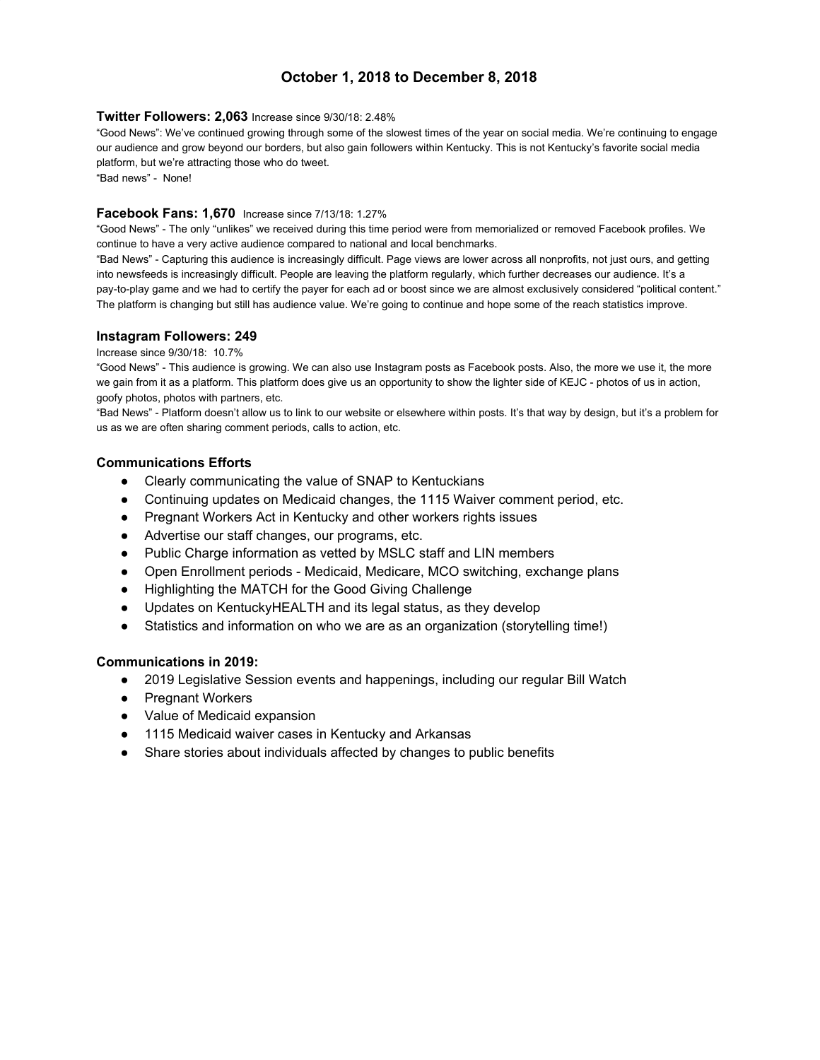## **October 1, 2018 to December 8, 2018**

#### **Twitter Followers: 2,063** Increase since 9/30/18: 2.48%

"Good News": We've continued growing through some of the slowest times of the year on social media. We're continuing to engage our audience and grow beyond our borders, but also gain followers within Kentucky. This is not Kentucky's favorite social media platform, but we're attracting those who do tweet.

"Bad news" - None!

## **Facebook Fans: 1,670** Increase since 7/13/18: 1.27%

"Good News" - The only "unlikes" we received during this time period were from memorialized or removed Facebook profiles. We continue to have a very active audience compared to national and local benchmarks.

"Bad News" - Capturing this audience is increasingly difficult. Page views are lower across all nonprofits, not just ours, and getting into newsfeeds is increasingly difficult. People are leaving the platform regularly, which further decreases our audience. It's a pay-to-play game and we had to certify the payer for each ad or boost since we are almost exclusively considered "political content." The platform is changing but still has audience value. We're going to continue and hope some of the reach statistics improve.

#### **Instagram Followers: 249**

#### Increase since 9/30/18: 10.7%

"Good News" - This audience is growing. We can also use Instagram posts as Facebook posts. Also, the more we use it, the more we gain from it as a platform. This platform does give us an opportunity to show the lighter side of KEJC - photos of us in action, goofy photos, photos with partners, etc.

"Bad News" - Platform doesn't allow us to link to our website or elsewhere within posts. It's that way by design, but it's a problem for us as we are often sharing comment periods, calls to action, etc.

#### **Communications Efforts**

- Clearly communicating the value of SNAP to Kentuckians
- Continuing updates on Medicaid changes, the 1115 Waiver comment period, etc.
- Pregnant Workers Act in Kentucky and other workers rights issues
- Advertise our staff changes, our programs, etc.
- Public Charge information as vetted by MSLC staff and LIN members
- Open Enrollment periods Medicaid, Medicare, MCO switching, exchange plans
- Highlighting the MATCH for the Good Giving Challenge
- Updates on KentuckyHEALTH and its legal status, as they develop
- Statistics and information on who we are as an organization (storytelling time!)

## **Communications in 2019:**

- 2019 Legislative Session events and happenings, including our regular Bill Watch
- Pregnant Workers
- Value of Medicaid expansion
- 1115 Medicaid waiver cases in Kentucky and Arkansas
- Share stories about individuals affected by changes to public benefits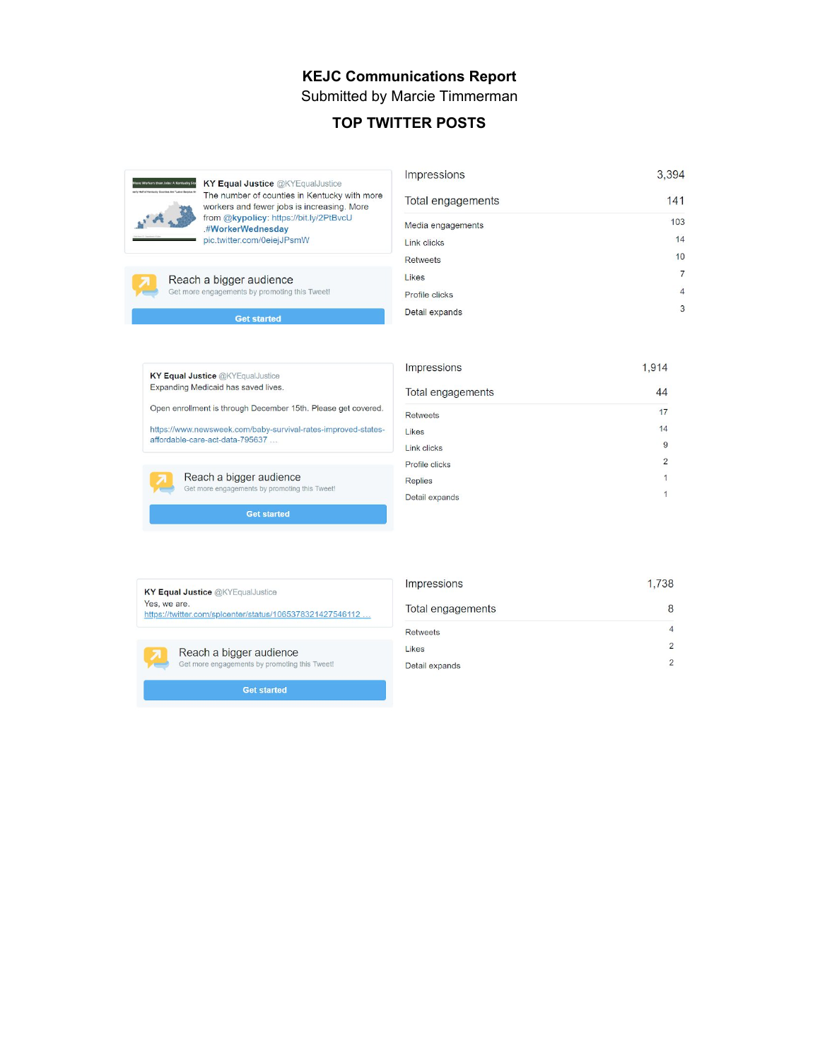## **KEJC Communications Report** Submitted by Marcie Timmerman

## **TOP TWITTER POSTS**



The number of counties in Kentucky with more workers and fewer jobs is increasing. More<br>from @kypolicy: https://bit.ly/2PtBvcU .#WorkerWednesday pic.twitter.com/0eiejJPsmW

| Impressions       | 3,394          |
|-------------------|----------------|
| Total engagements | 141            |
| Media engagements | 103            |
| Link clicks       | 14             |
| <b>Retweets</b>   | 10             |
| Likes             | 7              |
| Profile clicks    | $\overline{4}$ |
| Detail expands    | 3              |

Reach a bigger audience Get more engagements by promoting this Tweet!

**Get started** 

KY Equal Justice @KYEqualJustice Expanding Medicaid has saved lives.

Open enrollment is through December 15th. Please get covered.

https://www.newsweek.com/baby-survival-rates-improved-statesaffordable-care-act-data-795637 ...



**Get started** 

| Impressions       | 1,914          |
|-------------------|----------------|
| Total engagements | 44             |
| <b>Retweets</b>   | 17             |
| Likes             | 14             |
| Link clicks       | 9              |
| Profile clicks    | $\overline{2}$ |
| <b>Replies</b>    | 1              |
| Detail expands    | 1              |
|                   |                |

| <b>KY Equal Justice @KYEqualJustice</b>                  |
|----------------------------------------------------------|
| Yes, we are.                                             |
| https://twitter.com/splcenter/status/1065378321427546112 |

| Impressions       | 1.738 |
|-------------------|-------|
| Total engagements | 8     |
| <b>Retweets</b>   | 4     |
| Likes             | 2     |
| Detail expands    | 2     |

Get more engagements by promoting this Tweet! **Get started** 

Reach a bigger audience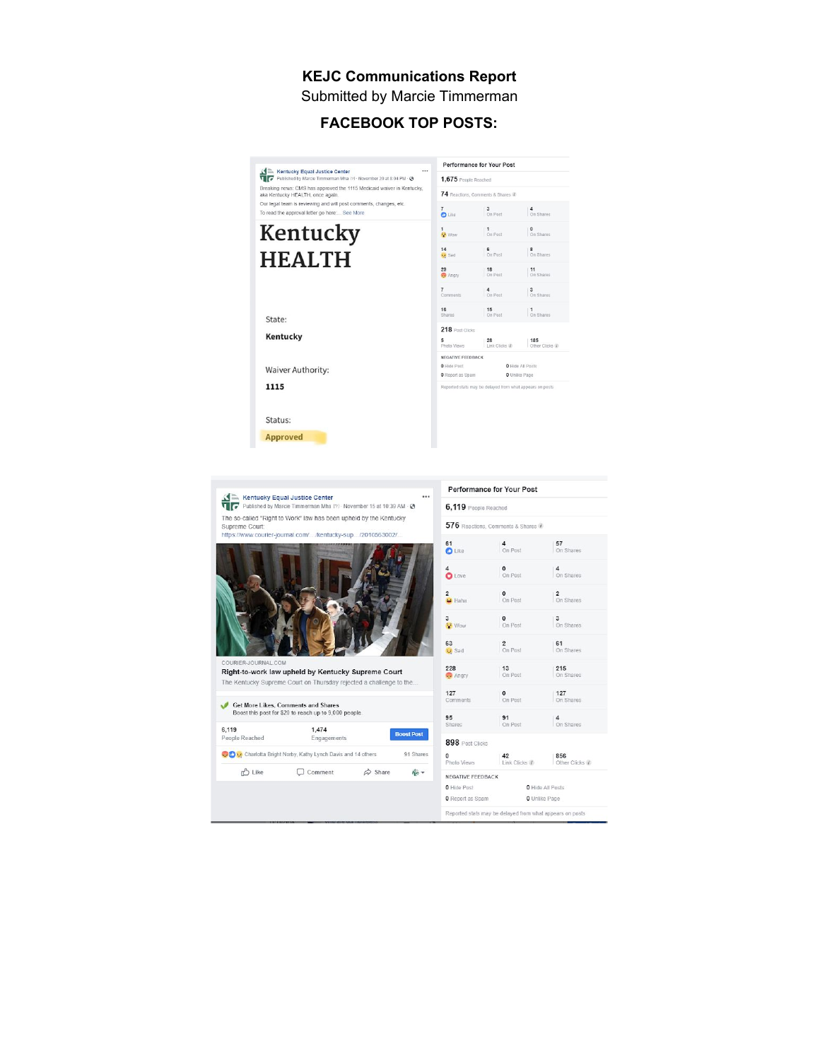## **KEJC Communications Report** Submitted by Marcie Timmerman

# **FACEBOOK TOP POSTS:**



Supreme Court: "Supreme Court" (CONTRACTED FOR SUPREME COURT) (NOW COURT FOR SUPPLY ACCOUNT) (CONTRACTED FOR SUPPLY ACCOUNTS)



Right-to-work law upheld by Kentucky Supreme Court The Kentucky Supreme Court on Thursday rejected a challenge to the

IER-JOURNAL.CO



|                                  | 576 Reactions, Comments & Shares 1                                                                                              |                                                                      |
|----------------------------------|---------------------------------------------------------------------------------------------------------------------------------|----------------------------------------------------------------------|
| 61<br>O Like                     | $\frac{4}{\text{On Post}}$                                                                                                      | $57$ On Shares                                                       |
| 4<br>$\overset{4}{\bullet}$ Love | $\begin{array}{ c c }\n\hline\n\end{array}$ On Post                                                                             | $\vert$ 0n Shares                                                    |
| $\frac{2}{\bullet}$ Haha         | $\begin{array}{ c c }\n\hline\n\text{On Post}\n\end{array}$                                                                     | $\vert$ 2 On Shares                                                  |
| 3<br><mark>63</mark> Wow         | $\begin{array}{ c } \hline \mathbf{0} \\ \hline \text{On Post} \end{array}$                                                     | $\left  \begin{smallmatrix} 3 \\ 0n \end{smallmatrix} \right $       |
| 63<br><b>Sad</b>                 | $\frac{2}{\text{On Post}}$                                                                                                      | $\begin{array}{ c } \hline \mathbf{61} \\ \hline \mathbf{On}$ Shares |
| 228<br>Angry                     | $\begin{bmatrix} 13 \\ \text{On Post} \end{bmatrix}$                                                                            | $215$<br>On Shares                                                   |
| 127<br>Comments                  | $\begin{array}{ c c }\n\hline\n0 & \text{Post}\n\end{array}$                                                                    | $127$<br>On Shares                                                   |
| 95<br>Shares                     | $\frac{91}{\text{On Post}}$                                                                                                     | $\left  \begin{smallmatrix} 4 \\ 0n \end{smallmatrix} \right $       |
| 898 Post Clicks                  |                                                                                                                                 |                                                                      |
| <b>0</b><br>Photo Views          | $\begin{array}{ c c c }\n\hline\n\textbf{42} & \textbf{856} \\ \text{Link Clicks } \ell & \text{Other Clicks } \ell\end{array}$ |                                                                      |
| NEGATIVE FEEDBACK                |                                                                                                                                 |                                                                      |
| <b>0</b> Hide Post               | <b>O</b> Hide All Posts                                                                                                         |                                                                      |
| O Report as Spam                 | O Unlike Page                                                                                                                   |                                                                      |